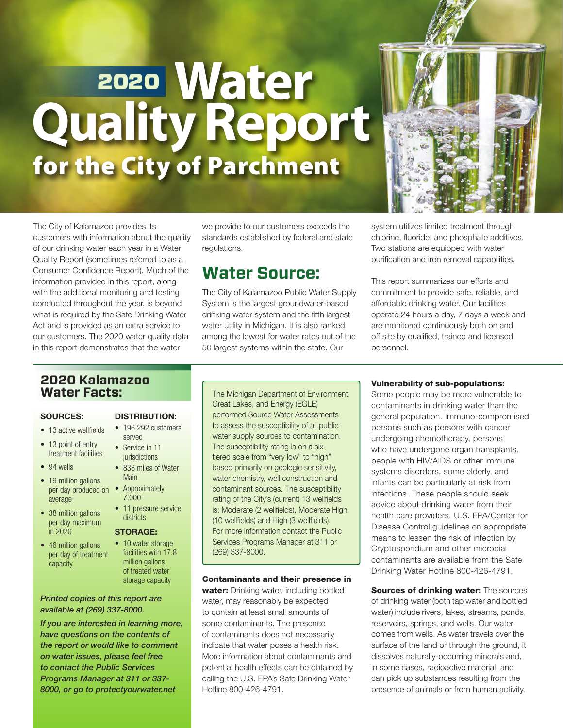### for the City of Parchment  **Water QualityReport** 2020



The City of Kalamazoo provides its customers with information about the quality of our drinking water each year in a Water Quality Report (sometimes referred to as a Consumer Confidence Report). Much of the information provided in this report, along with the additional monitoring and testing conducted throughout the year, is beyond what is required by the Safe Drinking Water Act and is provided as an extra service to our customers. The 2020 water quality data in this report demonstrates that the water

we provide to our customers exceeds the standards established by federal and state regulations.

### **Water Source:**

The City of Kalamazoo Public Water Supply System is the largest groundwater-based drinking water system and the fifth largest water utility in Michigan. It is also ranked among the lowest for water rates out of the 50 largest systems within the state. Our

system utilizes limited treatment through chlorine, fluoride, and phosphate additives. Two stations are equipped with water purification and iron removal capabilities.

This report summarizes our efforts and commitment to provide safe, reliable, and affordable drinking water. Our facilities operate 24 hours a day, 7 days a week and are monitored continuously both on and off site by qualified, trained and licensed personnel.

### **2020 Kalamazoo Water Facts:**

#### SOURCES:

- 13 active wellfields
- 13 point of entry treatment facilities
- 94 wells
- 19 million gallons per day produced on • Approximately average
- 38 million gallons per day maximum in 2020
- 46 million gallons per day of treatment capacity

### DISTRIBUTION:

- 196,292 customers served
- Service in 11 iurisdictions
- 838 miles of Water Main
- 7,000
- 11 pressure service districts

### STORAGE:

• 10 water storage facilities with 17.8 million gallons of treated water storage capacity

### *Printed copies of this report are available at (269) 337-8000.*

*If you are interested in learning more, have questions on the contents of the report or would like to comment on water issues, please feel free to contact the Public Services Programs Manager at 311 or 337- 8000, or go to protectyourwater.net*

The Michigan Department of Environment, Great Lakes, and Energy (EGLE) performed Source Water Assessments to assess the susceptibility of all public water supply sources to contamination. The susceptibility rating is on a sixtiered scale from "very low" to "high" based primarily on geologic sensitivity, water chemistry, well construction and contaminant sources. The susceptibility rating of the City's (current) 13 wellfields is: Moderate (2 wellfields), Moderate High (10 wellfields) and High (3 wellfields). For more information contact the Public Services Programs Manager at 311 or (269) 337-8000.

### Contaminants and their presence in

water: Drinking water, including bottled water, may reasonably be expected to contain at least small amounts of some contaminants. The presence of contaminants does not necessarily indicate that water poses a health risk. More information about contaminants and potential health effects can be obtained by calling the U.S. EPA's Safe Drinking Water Hotline 800-426-4791.

### Vulnerability of sub-populations:

Some people may be more vulnerable to contaminants in drinking water than the general population. Immuno-compromised persons such as persons with cancer undergoing chemotherapy, persons who have undergone organ transplants, people with HIV/AIDS or other immune systems disorders, some elderly, and infants can be particularly at risk from infections. These people should seek advice about drinking water from their health care providers. U.S. EPA/Center for Disease Control guidelines on appropriate means to lessen the risk of infection by Cryptosporidium and other microbial contaminants are available from the Safe Drinking Water Hotline 800-426-4791.

Sources of drinking water: The sources of drinking water (both tap water and bottled water) include rivers, lakes, streams, ponds, reservoirs, springs, and wells. Our water comes from wells. As water travels over the surface of the land or through the ground, it dissolves naturally-occurring minerals and, in some cases, radioactive material, and can pick up substances resulting from the presence of animals or from human activity.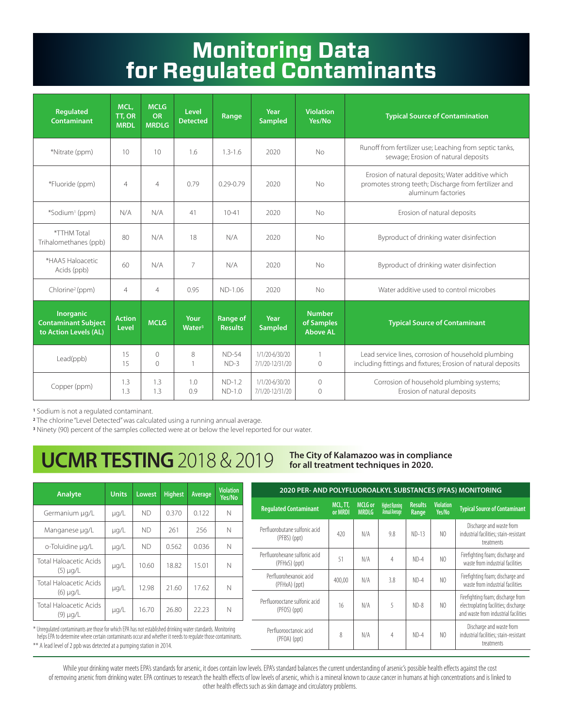### **Monitoring Data for Regulated Contaminants**

| Regulated<br>Contaminant                                                | MCL.<br>TT, OR<br><b>MRDL</b> | <b>MCLG</b><br>OR<br><b>MRDLG</b> | <b>Level</b><br><b>Detected</b> | Range                      | Year<br><b>Sampled</b>            | <b>Violation</b><br>Yes/No                     | <b>Typical Source of Contamination</b>                                                                                          |  |  |
|-------------------------------------------------------------------------|-------------------------------|-----------------------------------|---------------------------------|----------------------------|-----------------------------------|------------------------------------------------|---------------------------------------------------------------------------------------------------------------------------------|--|--|
| *Nitrate (ppm)                                                          | 10                            | 10                                | 1.6                             | $1.3 - 1.6$                | 2020                              | <b>No</b>                                      | Runoff from fertilizer use; Leaching from septic tanks,<br>sewage; Erosion of natural deposits                                  |  |  |
| *Fluoride (ppm)                                                         | $\overline{4}$                | $\overline{4}$                    | 0.79                            | $0.29 - 0.79$              | 2020                              | No                                             | Erosion of natural deposits; Water additive which<br>promotes strong teeth; Discharge from fertilizer and<br>aluminum factories |  |  |
| *Sodium <sup>1</sup> (ppm)                                              | N/A                           | N/A                               | 41                              | $10 - 41$                  | 2020                              | No                                             | Erosion of natural deposits                                                                                                     |  |  |
| *TTHM Total<br>Trihalomethanes (ppb)                                    | 80                            | N/A                               | 18                              | N/A                        | 2020                              | No                                             | Byproduct of drinking water disinfection                                                                                        |  |  |
| *HAA5 Haloacetic<br>Acids (ppb)                                         | 60                            | N/A                               | 7                               | N/A                        | 2020                              | No                                             | Byproduct of drinking water disinfection                                                                                        |  |  |
| Chlorine <sup>2</sup> (ppm)                                             | $\overline{4}$                | $\overline{4}$                    | 0.95                            | ND-1.06                    | 2020                              | No                                             | Water additive used to control microbes                                                                                         |  |  |
| <b>Inorganic</b><br><b>Contaminant Subject</b><br>to Action Levels (AL) | <b>Action</b><br>Level        | <b>MCLG</b>                       | Your<br>Water <sup>3</sup>      | Range of<br><b>Results</b> | Year<br><b>Sampled</b>            | <b>Number</b><br>of Samples<br><b>Above AL</b> | <b>Typical Source of Contaminant</b>                                                                                            |  |  |
| Lead(ppb)                                                               | 15<br>15                      | $\Omega$<br>$\bigcirc$            | 8<br>$\mathbf{1}$               | $ND-54$<br>$ND-3$          | 1/1/20-6/30/20<br>7/1/20-12/31/20 | $\circ$                                        | Lead service lines, corrosion of household plumbing<br>including fittings and fixtures; Erosion of natural deposits             |  |  |
| Copper (ppm)                                                            | 1.3<br>1.3                    | 1.3<br>1.3                        | 1.0<br>0.9                      | $ND-1.2$<br>$ND-1.0$       | 1/1/20-6/30/20<br>7/1/20-12/31/20 | $\circ$<br>$\Omega$                            | Corrosion of household plumbing systems;<br>Erosion of natural deposits                                                         |  |  |

**<sup>1</sup>** Sodium is not a regulated contaminant.

**<sup>2</sup>** The chlorine "Level Detected" was calculated using a running annual average.

**<sup>3</sup>** Ninety (90) percent of the samples collected were at or below the level reported for our water.

### **UCMR TESTING** 2018 & 2019

**The City of Kalamazoo was in compliance for all treatment techniques in 2020.**

treatments

| Analyte                                                                                                                                                                                                                     | <b>Units</b> | Lowest    | <b>Highest</b> | Average | <b>Violation</b><br>Yes/No |  | 2020 PER- AND POLYFLUOROALKYL SUBSTANCES (PFAS) MONITORING |                     |                                |                                                 |                         |                            |                                                                                                                   |  |
|-----------------------------------------------------------------------------------------------------------------------------------------------------------------------------------------------------------------------------|--------------|-----------|----------------|---------|----------------------------|--|------------------------------------------------------------|---------------------|--------------------------------|-------------------------------------------------|-------------------------|----------------------------|-------------------------------------------------------------------------------------------------------------------|--|
| Germanium µg/L                                                                                                                                                                                                              | µg/L         | <b>ND</b> | 0.370          | 0.122   | N                          |  | <b>Regulated Contaminant</b>                               | MCL, TT,<br>or MRDI | <b>MCLG or</b><br><b>MRDLG</b> | <b>Highest Running</b><br><b>Annual Average</b> | <b>Results</b><br>Range | <b>Violation</b><br>Yes/No | <b>Typical Source of Contaminant</b>                                                                              |  |
| Manganese µg/L                                                                                                                                                                                                              | $\mu$ g/L    | <b>ND</b> | 261            | 256     | N                          |  | Perfluorobutane sulfonic acid<br>(PFBS) (ppt)              | 420                 | N/A                            | 9.8                                             | $ND-13$                 | N <sub>0</sub>             | Discharge and waste from<br>industrial facilities; stain-resistant                                                |  |
| o-Toluidine µg/L<br>Total Haloacetic Acids                                                                                                                                                                                  | µg/L         | <b>ND</b> | 0.562          | 0.036   | N                          |  | Perfluorohexane sulfonic acid<br>(PFHxS) (ppt)             | 51                  | N/A                            | 4                                               | $ND-4$                  | N <sub>0</sub>             | treatments<br>Firefighting foam; discharge and<br>waste from industrial facilities                                |  |
| $(5)$ $\mu$ g/L                                                                                                                                                                                                             | $\mu q/L$    | 10.60     | 18.82          | 15.01   | N                          |  | Perfluorohexanoic acid                                     | 400.00              | N/A                            | 3.8                                             | $ND-4$                  | N()                        | Firefighting foam; discharge and                                                                                  |  |
| Total Haloacetic Acids<br>$(6)$ µg/L                                                                                                                                                                                        | µg/L         | 12.98     | 21.60          | 17.62   | N                          |  | (PFHxA) (ppt)                                              |                     |                                |                                                 |                         |                            | waste from industrial facilities                                                                                  |  |
| <b>Total Haloacetic Acids</b><br>$(9)$ µg/L                                                                                                                                                                                 | µg/L         | 16.70     | 26.80          | 22.23   | N                          |  | Perfluorooctane sulfonic acid<br>$(PFOS)$ (ppt)            | 16                  | N/A                            |                                                 | $ND-8$                  | N <sub>0</sub>             | Firefighting foam; discharge from<br>electroplating facilities; discharge<br>and waste from industrial facilities |  |
| * Unregulated contaminants are those for which EPA has not established drinking water standards. Monitoring<br>helps EPA to determine where certain contaminants occur and whether it needs to regulate those contaminants. |              |           |                |         |                            |  | Perfluorooctanoic acid<br>$(PFOA)$ (ppt)                   | 8                   | N/A                            | 4                                               | $ND-4$                  | N <sub>0</sub>             | Discharge and waste from<br>industrial facilities: stain-resistant<br>trachman                                    |  |

 helps EPA to determine where certain contaminants occur and whether it needs to regulate those contaminants. \*\* A lead level of 2 ppb was detected at a pumping station in 2014.

While your drinking water meets EPA's standards for arsenic, it does contain low levels. EPA's standard balances the current understanding of arsenic's possible health effects against the cost of removing arsenic from drinking water. EPA continues to research the health effects of low levels of arsenic, which is a mineral known to cause cancer in humans at high concentrations and is linked to other health effects such as skin damage and circulatory problems.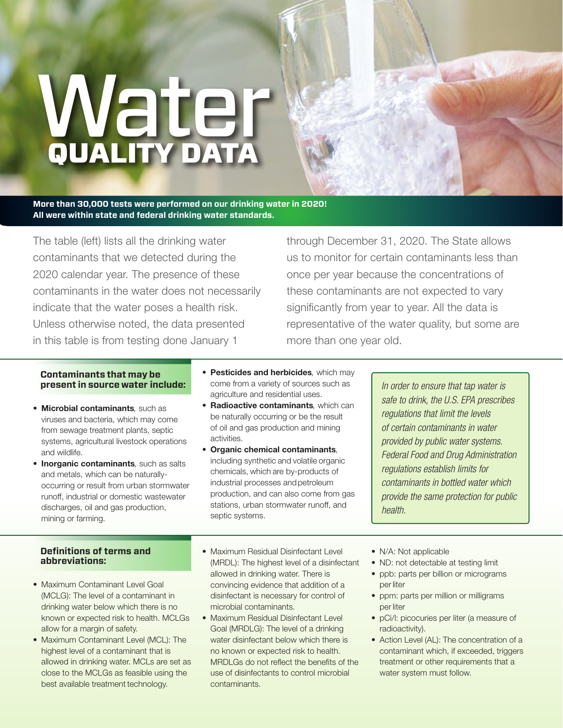# Water QUALITY DATA

**More than 30,000 tests were performed on our drinking water in 2020! All were within state and federal drinking water standards.**

The table (left) lists all the drinking water contaminants that we detected during the 2020 calendar year. The presence of these contaminants in the water does not necessarily indicate that the water poses a health risk. Unless otherwise noted, the data presented in this table is from testing done January 1

through December 31, 2020. The State allows us to monitor for certain contaminants less than once per year because the concentrations of these contaminants are not expected to vary significantly from year to year. All the data is representative of the water quality, but some are more than one year old.

### **Contaminants that may be present in source water include:**

- Microbial contaminants*,* such as viruses and bacteria, which may come from sewage treatment plants, septic systems, agricultural livestock operations and wildlife.
- Inorganic contaminants*,* such as salts and metals, which can be naturallyoccurring or result from urban stormwater runoff, industrial or domestic wastewater discharges, oil and gas production, mining or farming.
- Pesticides and herbicides*,* which may come from a variety of sources such as agriculture and residential uses.
- Radioactive contaminants*,* which can be naturally occurring or be the result of oil and gas production and mining activities.
- Organic chemical contaminants*,*  including synthetic and volatile organic chemicals, which are by-products of industrial processes and petroleum production, and can also come from gas stations, urban stormwater runoff, and septic systems.

*In order to ensure that tap water is safe to drink, the U.S. EPA prescribes regulations that limit the levels of certain contaminants in water provided by public water systems. Federal Food and Drug Administration regulations establish limits for contaminants in bottled water which provide the same protection for public health.*

### **Definitions of terms and abbreviations:**

- Maximum Contaminant Level Goal (MCLG): The level of a contaminant in drinking water below which there is no known or expected risk to health. MCLGs allow for a margin of safety.
- Maximum Contaminant Level (MCL): The highest level of a contaminant that is allowed in drinking water. MCLs are set as close to the MCLGs as feasible using the best available treatment technology.
- Maximum Residual Disinfectant Level (MRDL): The highest level of a disinfectant allowed in drinking water. There is convincing evidence that addition of a disinfectant is necessary for control of microbial contaminants.
- Maximum Residual Disinfectant Level Goal (MRDLG): The level of a drinking water disinfectant below which there is no known or expected risk to health. MRDLGs do not reflect the benefits of the use of disinfectants to control microbial contaminants.
- N/A: Not applicable
- ND: not detectable at testing limit
- ppb: parts per billion or micrograms per liter
- ppm: parts per million or milligrams per liter
- pCi/l: picocuries per liter (a measure of radioactivity).
- Action Level (AL): The concentration of a contaminant which, if exceeded, triggers treatment or other requirements that a water system must follow.